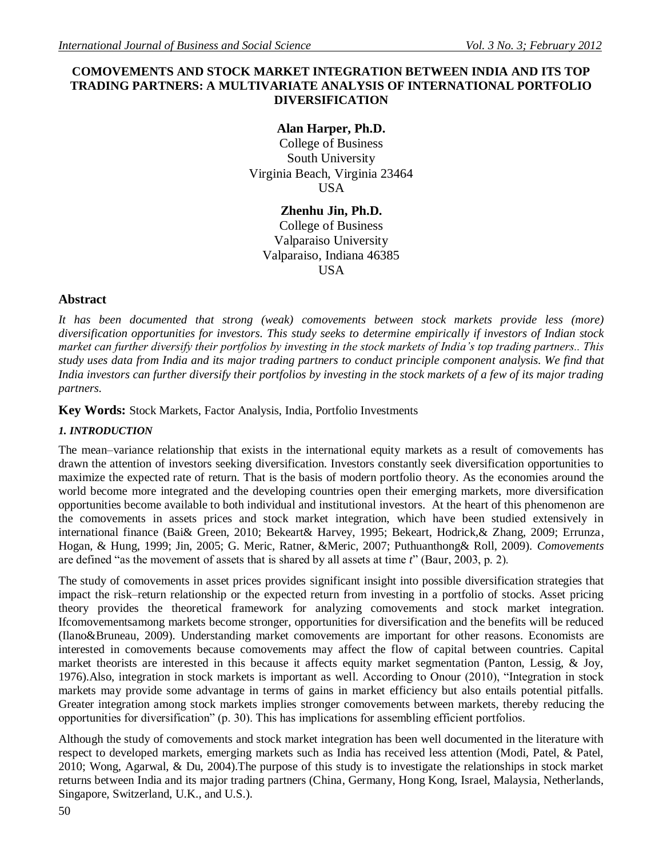# **COMOVEMENTS AND STOCK MARKET INTEGRATION BETWEEN INDIA AND ITS TOP TRADING PARTNERS: A MULTIVARIATE ANALYSIS OF INTERNATIONAL PORTFOLIO DIVERSIFICATION**

# **Alan Harper, Ph.D.**

College of Business South University Virginia Beach, Virginia 23464 USA

**Zhenhu Jin, Ph.D.** College of Business Valparaiso University Valparaiso, Indiana 46385 **USA** 

# **Abstract**

*It has been documented that strong (weak) comovements between stock markets provide less (more) diversification opportunities for investors. This study seeks to determine empirically if investors of Indian stock market can further diversify their portfolios by investing in the stock markets of India's top trading partners.. This study uses data from India and its major trading partners to conduct principle component analysis. We find that India investors can further diversify their portfolios by investing in the stock markets of a few of its major trading partners.*

**Key Words:** Stock Markets, Factor Analysis, India, Portfolio Investments

## *1. INTRODUCTION*

The mean–variance relationship that exists in the international equity markets as a result of comovements has drawn the attention of investors seeking diversification. Investors constantly seek diversification opportunities to maximize the expected rate of return. That is the basis of modern portfolio theory. As the economies around the world become more integrated and the developing countries open their emerging markets, more diversification opportunities become available to both individual and institutional investors. At the heart of this phenomenon are the comovements in assets prices and stock market integration, which have been studied extensively in international finance (Bai& Green, 2010; Bekeart& Harvey, 1995; Bekeart, Hodrick,& Zhang, 2009; Errunza, Hogan, & Hung, 1999; Jin, 2005; G. Meric, Ratner, &Meric, 2007; Puthuanthong& Roll, 2009). *Comovements* are defined "as the movement of assets that is shared by all assets at time *t*" (Baur, 2003, p. 2).

The study of comovements in asset prices provides significant insight into possible diversification strategies that impact the risk–return relationship or the expected return from investing in a portfolio of stocks. Asset pricing theory provides the theoretical framework for analyzing comovements and stock market integration. Ifcomovementsamong markets become stronger, opportunities for diversification and the benefits will be reduced (Ilano&Bruneau, 2009). Understanding market comovements are important for other reasons. Economists are interested in comovements because comovements may affect the flow of capital between countries. Capital market theorists are interested in this because it affects equity market segmentation (Panton, Lessig, & Joy, 1976).Also, integration in stock markets is important as well. According to Onour (2010), "Integration in stock markets may provide some advantage in terms of gains in market efficiency but also entails potential pitfalls. Greater integration among stock markets implies stronger comovements between markets, thereby reducing the opportunities for diversification" (p. 30). This has implications for assembling efficient portfolios.

Although the study of comovements and stock market integration has been well documented in the literature with respect to developed markets, emerging markets such as India has received less attention (Modi, Patel, & Patel, 2010; Wong, Agarwal, & Du, 2004).The purpose of this study is to investigate the relationships in stock market returns between India and its major trading partners (China, Germany, Hong Kong, Israel, Malaysia, Netherlands, Singapore, Switzerland, U.K., and U.S.).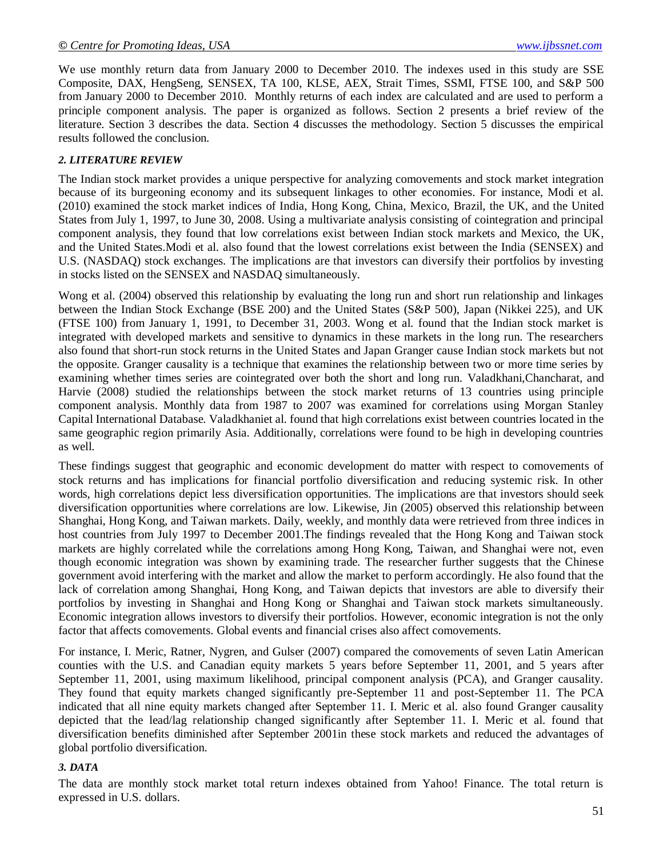We use monthly return data from January 2000 to December 2010. The indexes used in this study are SSE Composite, DAX, HengSeng, SENSEX, TA 100, KLSE, AEX, Strait Times, SSMI, FTSE 100, and S&P 500 from January 2000 to December 2010. Monthly returns of each index are calculated and are used to perform a principle component analysis. The paper is organized as follows. Section 2 presents a brief review of the literature. Section 3 describes the data. Section 4 discusses the methodology. Section 5 discusses the empirical results followed the conclusion.

### *2. LITERATURE REVIEW*

The Indian stock market provides a unique perspective for analyzing comovements and stock market integration because of its burgeoning economy and its subsequent linkages to other economies. For instance, Modi et al. (2010) examined the stock market indices of India, Hong Kong, China, Mexico, Brazil, the UK, and the United States from July 1, 1997, to June 30, 2008. Using a multivariate analysis consisting of cointegration and principal component analysis, they found that low correlations exist between Indian stock markets and Mexico, the UK, and the United States.Modi et al. also found that the lowest correlations exist between the India (SENSEX) and U.S. (NASDAQ) stock exchanges. The implications are that investors can diversify their portfolios by investing in stocks listed on the SENSEX and NASDAQ simultaneously.

Wong et al. (2004) observed this relationship by evaluating the long run and short run relationship and linkages between the Indian Stock Exchange (BSE 200) and the United States (S&P 500), Japan (Nikkei 225), and UK (FTSE 100) from January 1, 1991, to December 31, 2003. Wong et al. found that the Indian stock market is integrated with developed markets and sensitive to dynamics in these markets in the long run. The researchers also found that short-run stock returns in the United States and Japan Granger cause Indian stock markets but not the opposite. Granger causality is a technique that examines the relationship between two or more time series by examining whether times series are cointegrated over both the short and long run. Valadkhani,Chancharat, and Harvie (2008) studied the relationships between the stock market returns of 13 countries using principle component analysis. Monthly data from 1987 to 2007 was examined for correlations using Morgan Stanley Capital International Database. Valadkhaniet al. found that high correlations exist between countries located in the same geographic region primarily Asia. Additionally, correlations were found to be high in developing countries as well.

These findings suggest that geographic and economic development do matter with respect to comovements of stock returns and has implications for financial portfolio diversification and reducing systemic risk. In other words, high correlations depict less diversification opportunities. The implications are that investors should seek diversification opportunities where correlations are low. Likewise, Jin (2005) observed this relationship between Shanghai, Hong Kong, and Taiwan markets. Daily, weekly, and monthly data were retrieved from three indices in host countries from July 1997 to December 2001.The findings revealed that the Hong Kong and Taiwan stock markets are highly correlated while the correlations among Hong Kong, Taiwan, and Shanghai were not, even though economic integration was shown by examining trade. The researcher further suggests that the Chinese government avoid interfering with the market and allow the market to perform accordingly. He also found that the lack of correlation among Shanghai, Hong Kong, and Taiwan depicts that investors are able to diversify their portfolios by investing in Shanghai and Hong Kong or Shanghai and Taiwan stock markets simultaneously. Economic integration allows investors to diversify their portfolios. However, economic integration is not the only factor that affects comovements. Global events and financial crises also affect comovements.

For instance, I. Meric, Ratner, Nygren, and Gulser (2007) compared the comovements of seven Latin American counties with the U.S. and Canadian equity markets 5 years before September 11, 2001, and 5 years after September 11, 2001, using maximum likelihood, principal component analysis (PCA), and Granger causality. They found that equity markets changed significantly pre-September 11 and post-September 11. The PCA indicated that all nine equity markets changed after September 11. I. Meric et al. also found Granger causality depicted that the lead/lag relationship changed significantly after September 11. I. Meric et al. found that diversification benefits diminished after September 2001in these stock markets and reduced the advantages of global portfolio diversification.

### *3. DATA*

The data are monthly stock market total return indexes obtained from Yahoo! Finance. The total return is expressed in U.S. dollars.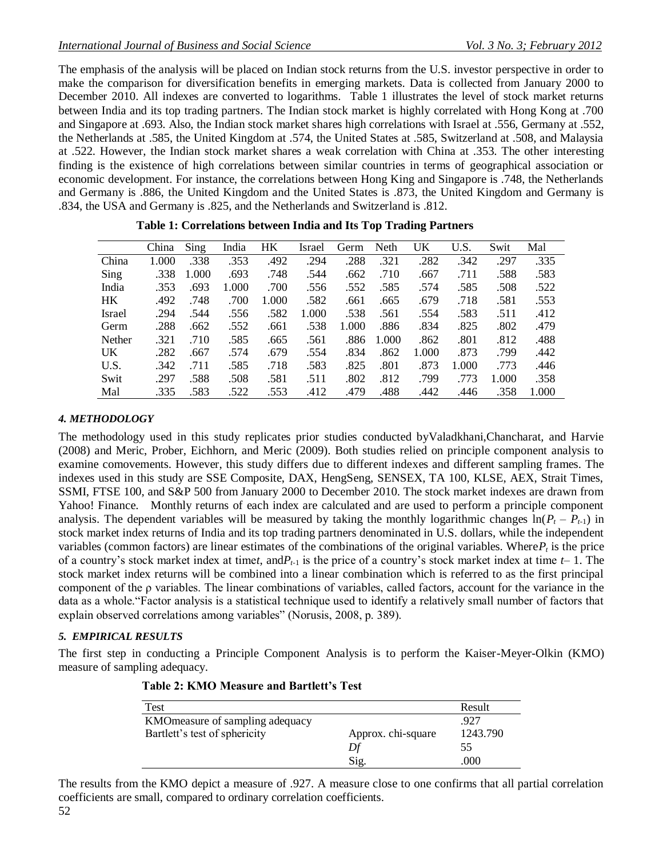The emphasis of the analysis will be placed on Indian stock returns from the U.S. investor perspective in order to make the comparison for diversification benefits in emerging markets. Data is collected from January 2000 to December 2010. All indexes are converted to logarithms. Table 1 illustrates the level of stock market returns between India and its top trading partners. The Indian stock market is highly correlated with Hong Kong at .700 and Singapore at .693. Also, the Indian stock market shares high correlations with Israel at .556, Germany at .552, the Netherlands at .585, the United Kingdom at .574, the United States at .585, Switzerland at .508, and Malaysia at .522. However, the Indian stock market shares a weak correlation with China at .353. The other interesting finding is the existence of high correlations between similar countries in terms of geographical association or economic development. For instance, the correlations between Hong King and Singapore is .748, the Netherlands and Germany is .886, the United Kingdom and the United States is .873, the United Kingdom and Germany is .834, the USA and Germany is .825, and the Netherlands and Switzerland is .812.

|               | China | Sing. | India | HK    | Israel | Germ  | Neth  | UK    | U.S.  | Swit  | Mal   |
|---------------|-------|-------|-------|-------|--------|-------|-------|-------|-------|-------|-------|
| China         | 1.000 | .338  | .353  | .492  | .294   | .288  | .321  | .282  | .342  | .297  | .335  |
| Sing          | .338  | 1.000 | .693  | .748  | .544   | .662  | .710  | .667  | .711  | .588  | .583  |
| India         | .353  | .693  | 1.000 | .700  | .556   | .552  | .585  | .574  | .585  | .508  | .522  |
| HK.           | .492  | .748  | .700  | 1.000 | .582   | .661  | .665  | .679  | .718  | .581  | .553  |
| <b>Israel</b> | .294  | .544  | .556  | .582  | 1.000  | .538  | .561  | .554  | .583  | .511  | .412  |
| Germ          | .288  | .662  | .552  | .661  | .538   | 1.000 | .886  | .834  | .825  | .802  | .479  |
| Nether        | .321  | .710  | .585  | .665  | .561   | .886  | 1.000 | .862  | .801  | .812  | .488  |
| UK.           | .282  | .667  | .574  | .679  | .554   | .834  | .862  | 1.000 | .873  | .799  | .442  |
| U.S.          | .342  | .711  | .585  | .718  | .583   | .825  | .801  | .873  | 1.000 | .773  | .446  |
| Swit          | .297  | .588  | .508  | .581  | .511   | .802  | .812  | .799  | .773  | 1.000 | .358  |
| Mal           | .335  | .583  | .522  | .553  | .412   | .479  | .488  | .442  | .446  | .358  | 1.000 |

|  | Table 1: Correlations between India and Its Top Trading Partners |  |  |  |
|--|------------------------------------------------------------------|--|--|--|
|  |                                                                  |  |  |  |

### *4. METHODOLOGY*

The methodology used in this study replicates prior studies conducted byValadkhani,Chancharat, and Harvie (2008) and Meric, Prober, Eichhorn, and Meric (2009). Both studies relied on principle component analysis to examine comovements. However, this study differs due to different indexes and different sampling frames. The indexes used in this study are SSE Composite, DAX, HengSeng, SENSEX, TA 100, KLSE, AEX, Strait Times, SSMI, FTSE 100, and S&P 500 from January 2000 to December 2010. The stock market indexes are drawn from Yahoo! Finance. Monthly returns of each index are calculated and are used to perform a principle component analysis. The dependent variables will be measured by taking the monthly logarithmic changes  $ln(P_t - P_{t-1})$  in stock market index returns of India and its top trading partners denominated in U.S. dollars, while the independent variables (common factors) are linear estimates of the combinations of the original variables. Where  $P_t$  is the price of a country's stock market index at time*t*, and  $P_{t-1}$  is the price of a country's stock market index at time  $t-1$ . The stock market index returns will be combined into a linear combination which is referred to as the first principal component of the ρ variables. The linear combinations of variables, called factors, account for the variance in the data as a whole."Factor analysis is a statistical technique used to identify a relatively small number of factors that explain observed correlations among variables" (Norusis, 2008, p. 389).

### *5. EMPIRICAL RESULTS*

The first step in conducting a Principle Component Analysis is to perform the Kaiser-Meyer-Olkin (KMO) measure of sampling adequacy.

| Test                             |                    | Result   |
|----------------------------------|--------------------|----------|
| KMO measure of sampling adequacy |                    | .927     |
| Bartlett's test of sphericity    | Approx. chi-square | 1243.790 |
|                                  | Df                 | 55       |
|                                  | Sig.               | .000     |

### **Table 2: KMO Measure and Bartlett's Test**

The results from the KMO depict a measure of .927. A measure close to one confirms that all partial correlation coefficients are small, compared to ordinary correlation coefficients.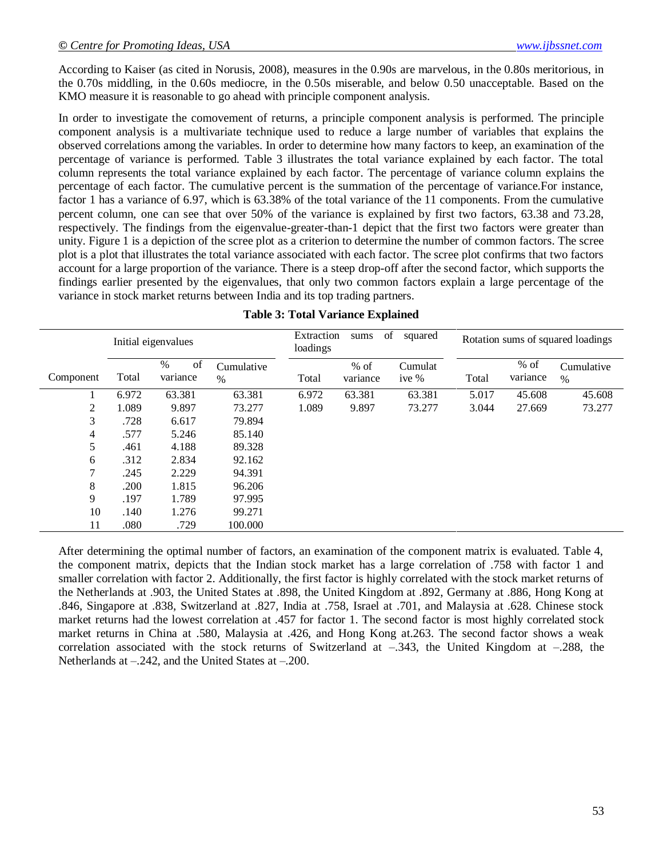According to Kaiser (as cited in Norusis, 2008), measures in the 0.90s are marvelous, in the 0.80s meritorious, in the 0.70s middling, in the 0.60s mediocre, in the 0.50s miserable, and below 0.50 unacceptable. Based on the KMO measure it is reasonable to go ahead with principle component analysis.

In order to investigate the comovement of returns, a principle component analysis is performed. The principle component analysis is a multivariate technique used to reduce a large number of variables that explains the observed correlations among the variables. In order to determine how many factors to keep, an examination of the percentage of variance is performed. Table 3 illustrates the total variance explained by each factor. The total column represents the total variance explained by each factor. The percentage of variance column explains the percentage of each factor. The cumulative percent is the summation of the percentage of variance.For instance, factor 1 has a variance of 6.97, which is 63.38% of the total variance of the 11 components. From the cumulative percent column, one can see that over 50% of the variance is explained by first two factors, 63.38 and 73.28, respectively. The findings from the eigenvalue-greater-than-1 depict that the first two factors were greater than unity. Figure 1 is a depiction of the scree plot as a criterion to determine the number of common factors. The scree plot is a plot that illustrates the total variance associated with each factor. The scree plot confirms that two factors account for a large proportion of the variance. There is a steep drop-off after the second factor, which supports the findings earlier presented by the eigenvalues, that only two common factors explain a large percentage of the variance in stock market returns between India and its top trading partners.

|           |       | Initial eigenvalues    |                    | Extraction<br>loadings | sums               | of<br>squared      |       |                    | Rotation sums of squared loadings |
|-----------|-------|------------------------|--------------------|------------------------|--------------------|--------------------|-------|--------------------|-----------------------------------|
| Component | Total | of<br>$\%$<br>variance | Cumulative<br>$\%$ | Total                  | $%$ of<br>variance | Cumulat<br>ive $%$ | Total | $%$ of<br>variance | Cumulative<br>$\%$                |
|           | 6.972 | 63.381                 | 63.381             | 6.972                  | 63.381             | 63.381             | 5.017 | 45.608             | 45.608                            |
| 2         | 1.089 | 9.897                  | 73.277             | 1.089                  | 9.897              | 73.277             | 3.044 | 27.669             | 73.277                            |
| 3         | .728  | 6.617                  | 79.894             |                        |                    |                    |       |                    |                                   |
| 4         | .577  | 5.246                  | 85.140             |                        |                    |                    |       |                    |                                   |
| 5         | .461  | 4.188                  | 89.328             |                        |                    |                    |       |                    |                                   |
| 6         | .312  | 2.834                  | 92.162             |                        |                    |                    |       |                    |                                   |
| 7         | .245  | 2.229                  | 94.391             |                        |                    |                    |       |                    |                                   |
| 8         | .200  | 1.815                  | 96.206             |                        |                    |                    |       |                    |                                   |
| 9         | .197  | 1.789                  | 97.995             |                        |                    |                    |       |                    |                                   |
| 10        | .140  | 1.276                  | 99.271             |                        |                    |                    |       |                    |                                   |
| 11        | .080  | .729                   | 100.000            |                        |                    |                    |       |                    |                                   |

### **Table 3: Total Variance Explained**

After determining the optimal number of factors, an examination of the component matrix is evaluated. Table 4, the component matrix, depicts that the Indian stock market has a large correlation of .758 with factor 1 and smaller correlation with factor 2. Additionally, the first factor is highly correlated with the stock market returns of the Netherlands at .903, the United States at .898, the United Kingdom at .892, Germany at .886, Hong Kong at .846, Singapore at .838, Switzerland at .827, India at .758, Israel at .701, and Malaysia at .628. Chinese stock market returns had the lowest correlation at .457 for factor 1. The second factor is most highly correlated stock market returns in China at .580, Malaysia at .426, and Hong Kong at.263. The second factor shows a weak correlation associated with the stock returns of Switzerland at  $-.343$ , the United Kingdom at  $-.288$ , the Netherlands at –.242, and the United States at –.200.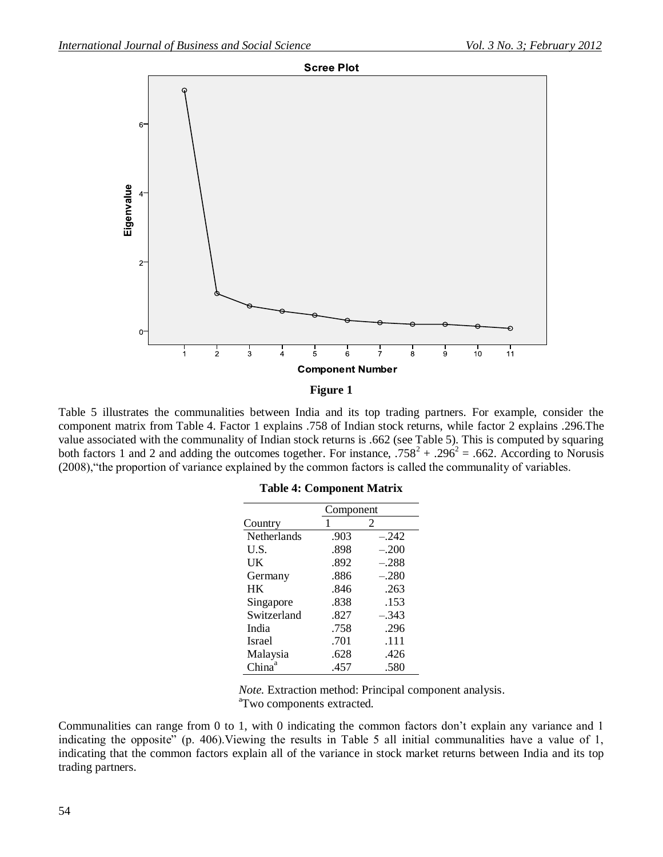

#### **Figure 1**

Table 5 illustrates the communalities between India and its top trading partners. For example, consider the component matrix from Table 4. Factor 1 explains .758 of Indian stock returns, while factor 2 explains .296.The value associated with the communality of Indian stock returns is .662 (see Table 5). This is computed by squaring both factors 1 and 2 and adding the outcomes together. For instance,  $.758^2 + .296^2 = .662$ . According to Norusis (2008),"the proportion of variance explained by the common factors is called the communality of variables.

|  | <b>Table 4: Component Matrix</b> |  |
|--|----------------------------------|--|
|--|----------------------------------|--|

|               | Component |         |  |  |
|---------------|-----------|---------|--|--|
| Country       | 1         | 2       |  |  |
| Netherlands   | .903      | $-.242$ |  |  |
| U.S.          | .898      | $-.200$ |  |  |
| UK            | .892      | $-.288$ |  |  |
| Germany       | .886      | $-.280$ |  |  |
| <b>HK</b>     | .846      | .263    |  |  |
| Singapore     | .838      | .153    |  |  |
| Switzerland   | .827      | $-.343$ |  |  |
| India         | .758      | .296    |  |  |
| <b>Israel</b> | .701      | .111    |  |  |
| Malaysia      | .628      | .426    |  |  |
| China         | .457      | .580    |  |  |

*Note.* Extraction method: Principal component analysis. <sup>a</sup>Two components extracted.

Communalities can range from 0 to 1, with 0 indicating the common factors don't explain any variance and 1 indicating the opposite" (p. 406). Viewing the results in Table 5 all initial communalities have a value of 1, indicating that the common factors explain all of the variance in stock market returns between India and its top trading partners.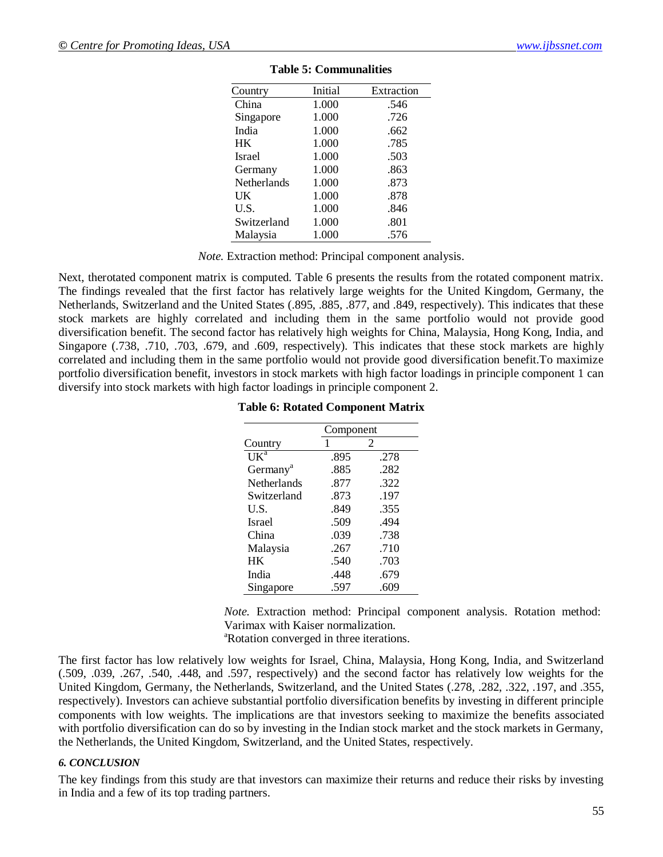| Country            | Initial | Extraction |
|--------------------|---------|------------|
| China              | 1.000   | .546       |
| Singapore          | 1.000   | .726       |
| India              | 1.000   | .662       |
| HK                 | 1.000   | .785       |
| <b>Israel</b>      | 1.000   | .503       |
| Germany            | 1.000   | .863       |
| <b>Netherlands</b> | 1.000   | .873       |
| UK                 | 1.000   | .878       |
| U.S.               | 1.000   | .846       |
| Switzerland        | 1.000   | .801       |
| Malaysia           | 1.000   | .576       |

#### **Table 5: Communalities**

*Note.* Extraction method: Principal component analysis.

Next, therotated component matrix is computed. Table 6 presents the results from the rotated component matrix. The findings revealed that the first factor has relatively large weights for the United Kingdom, Germany, the Netherlands, Switzerland and the United States (.895, .885, .877, and .849, respectively). This indicates that these stock markets are highly correlated and including them in the same portfolio would not provide good diversification benefit. The second factor has relatively high weights for China, Malaysia, Hong Kong, India, and Singapore (.738, .710, .703, .679, and .609, respectively). This indicates that these stock markets are highly correlated and including them in the same portfolio would not provide good diversification benefit.To maximize portfolio diversification benefit, investors in stock markets with high factor loadings in principle component 1 can diversify into stock markets with high factor loadings in principle component 2.

|  |  | <b>Table 6: Rotated Component Matrix</b> |
|--|--|------------------------------------------|
|--|--|------------------------------------------|

|                      | Component |      |  |
|----------------------|-----------|------|--|
| Country              |           | 2    |  |
| UK <sup>a</sup>      | .895      | .278 |  |
| Germany <sup>a</sup> | .885      | .282 |  |
| Netherlands          | .877      | .322 |  |
| Switzerland          | .873      | .197 |  |
| U.S.                 | .849      | .355 |  |
| <b>Israel</b>        | .509      | .494 |  |
| China                | .039      | .738 |  |
| Malaysia             | .267      | .710 |  |
| <b>HK</b>            | .540      | .703 |  |
| India                | .448      | .679 |  |
| Singapore            | .597      | .609 |  |

*Note.* Extraction method: Principal component analysis. Rotation method: Varimax with Kaiser normalization.

<sup>a</sup>Rotation converged in three iterations.

The first factor has low relatively low weights for Israel, China, Malaysia, Hong Kong, India, and Switzerland (.509, .039, .267, .540, .448, and .597, respectively) and the second factor has relatively low weights for the United Kingdom, Germany, the Netherlands, Switzerland, and the United States (.278, .282, .322, .197, and .355, respectively). Investors can achieve substantial portfolio diversification benefits by investing in different principle components with low weights. The implications are that investors seeking to maximize the benefits associated with portfolio diversification can do so by investing in the Indian stock market and the stock markets in Germany, the Netherlands, the United Kingdom, Switzerland, and the United States, respectively.

#### *6. CONCLUSION*

The key findings from this study are that investors can maximize their returns and reduce their risks by investing in India and a few of its top trading partners.